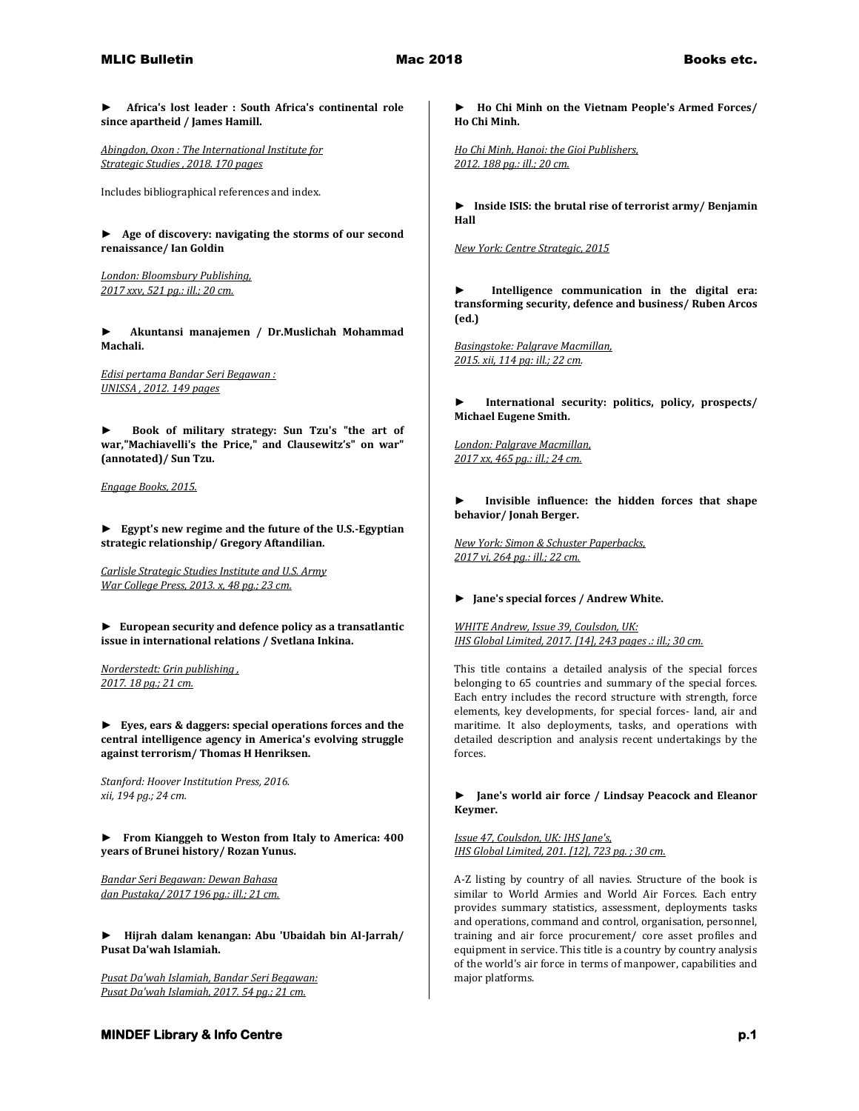**► Africa's lost leader : South Africa's continental role since apartheid / James Hamill.**

*Abingdon, Oxon : The International Institute for Strategic Studies , 2018. 170 pages*

Includes bibliographical references and index.

**► Age of discovery: navigating the storms of our second renaissance/ Ian Goldin**

*London: Bloomsbury Publishing, 2017 xxv, 521 pg.: ill.; 20 cm.* 

**► Akuntansi manajemen / Dr.Muslichah Mohammad Machali.**

*Edisi pertama Bandar Seri Begawan : UNISSA , 2012. 149 pages* 

**► Book of military strategy: Sun Tzu's "the art of war,"Machiavelli's the Price," and Clausewitz's" on war" (annotated)/ Sun Tzu.**

*Engage Books, 2015.* 

**► Egypt's new regime and the future of the U.S.-Egyptian strategic relationship/ Gregory Aftandilian.**

*Carlisle Strategic Studies Institute and U.S. Army War College Press, 2013. x, 48 pg.; 23 cm.* 

**► European security and defence policy as a transatlantic issue in international relations / Svetlana Inkina.**

*Norderstedt: Grin publishing , 2017. 18 pg.; 21 cm.* 

**► Eyes, ears & daggers: special operations forces and the central intelligence agency in America's evolving struggle against terrorism/ Thomas H Henriksen.**

*Stanford: Hoover Institution Press, 2016. xii, 194 pg.; 24 cm.* 

**► From Kianggeh to Weston from Italy to America: 400 years of Brunei history/ Rozan Yunus.**

*Bandar Seri Begawan: Dewan Bahasa dan Pustaka/ 2017 196 pg.: ill.; 21 cm.* 

**► Hijrah dalam kenangan: Abu 'Ubaidah bin Al-Jarrah/ Pusat Da'wah Islamiah.**

*Pusat Da'wah Islamiah, Bandar Seri Begawan: Pusat Da'wah Islamiah, 2017. 54 pg.; 21 cm.* 

**► Ho Chi Minh on the Vietnam People's Armed Forces/ Ho Chi Minh.**

*Ho Chi Minh, Hanoi: the Gioi Publishers, 2012. 188 pg.: ill.; 20 cm.* 

**► Inside ISIS: the brutal rise of terrorist army/ Benjamin Hall**

*New York: Centre Strategic, 2015* 

**► Intelligence communication in the digital era: transforming security, defence and business/ Ruben Arcos (ed.)**

*Basingstoke: Palgrave Macmillan, 2015. xii, 114 pg: ill.; 22 cm.* 

**► International security: politics, policy, prospects/ Michael Eugene Smith.**

*London: Palgrave Macmillan, 2017 xx, 465 pg.: ill.; 24 cm.* 

Invisible influence: the hidden forces that shape **behavior/ Jonah Berger.**

*New York: Simon & Schuster Paperbacks, 2017 vi, 264 pg.: ill.; 22 cm.* 

## **► Jane's special forces / Andrew White.**

*WHITE Andrew, Issue 39, Coulsdon, UK: IHS Global Limited, 2017. [14], 243 pages .: ill.; 30 cm.*

This title contains a detailed analysis of the special forces belonging to 65 countries and summary of the special forces. Each entry includes the record structure with strength, force elements, key developments, for special forces- land, air and maritime. It also deployments, tasks, and operations with detailed description and analysis recent undertakings by the forces.

**► Jane's world air force / Lindsay Peacock and Eleanor Keymer.**

*Issue 47, Coulsdon, UK: IHS Jane's, IHS Global Limited, 201. [12], 723 pg. ; 30 cm.*

A-Z listing by country of all navies. Structure of the book is similar to World Armies and World Air Forces. Each entry provides summary statistics, assessment, deployments tasks and operations, command and control, organisation, personnel, training and air force procurement/ core asset profiles and equipment in service. This title is a country by country analysis of the world's air force in terms of manpower, capabilities and major platforms.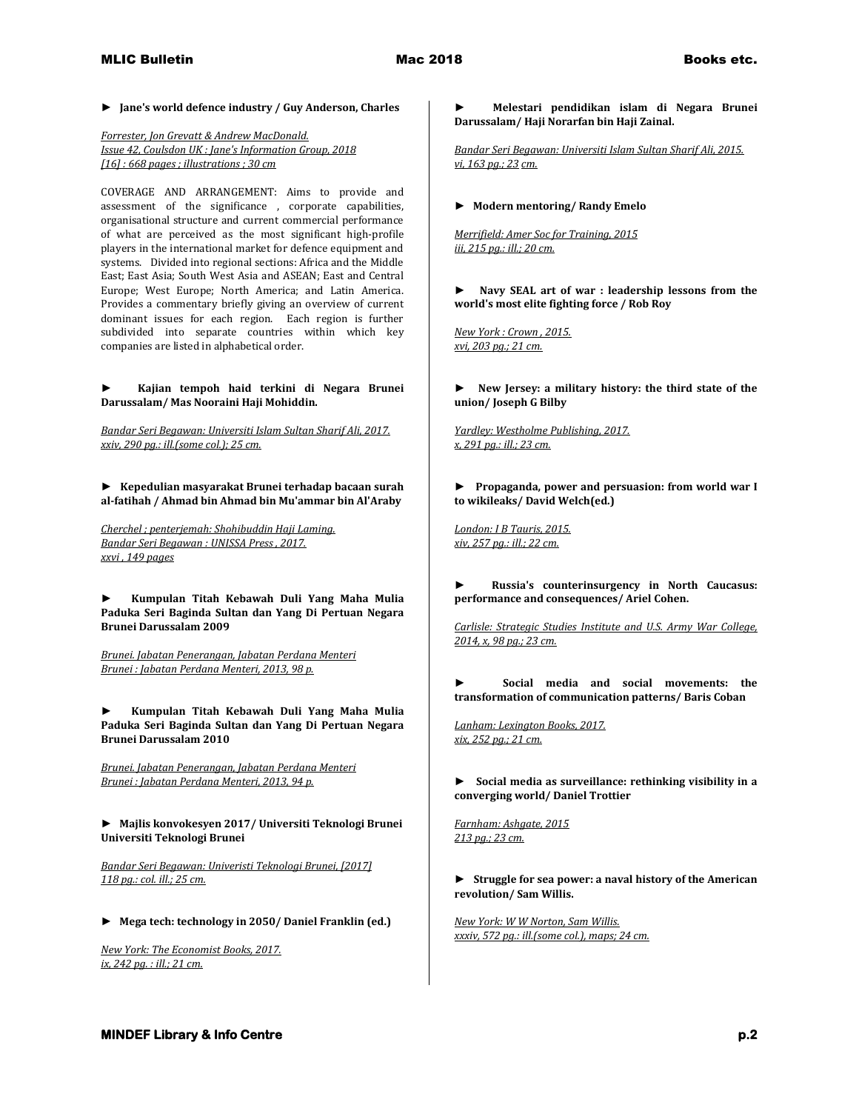## **► Jane's world defence industry / Guy Anderson, Charles**

*Forrester, Jon Grevatt & Andrew MacDonald. Issue 42, Coulsdon UK : Jane's Information Group, 2018 [16] : 668 pages ; illustrations ; 30 cm*

COVERAGE AND ARRANGEMENT: Aims to provide and assessment of the significance , corporate capabilities, organisational structure and current commercial performance of what are perceived as the most significant high-profile players in the international market for defence equipment and systems. Divided into regional sections: Africa and the Middle East; East Asia; South West Asia and ASEAN; East and Central Europe; West Europe; North America; and Latin America. Provides a commentary briefly giving an overview of current dominant issues for each region. Each region is further subdivided into separate countries within which key companies are listed in alphabetical order.

**► Kajian tempoh haid terkini di Negara Brunei Darussalam/ Mas Nooraini Haji Mohiddin.**

*Bandar Seri Begawan: Universiti Islam Sultan Sharif Ali, 2017. xxiv, 290 pg.: ill.(some col.); 25 cm.* 

**► Kepedulian masyarakat Brunei terhadap bacaan surah al-fatihah / Ahmad bin Ahmad bin Mu'ammar bin Al'Araby** 

*Cherchel ; penterjemah: Shohibuddin Haji Laming. Bandar Seri Begawan : UNISSA Press , 2017. xxvi , 149 pages* 

**► Kumpulan Titah Kebawah Duli Yang Maha Mulia Paduka Seri Baginda Sultan dan Yang Di Pertuan Negara Brunei Darussalam 2009**

*Brunei. Jabatan Penerangan, Jabatan Perdana Menteri Brunei : Jabatan Perdana Menteri, 2013, 98 p.* 

**► Kumpulan Titah Kebawah Duli Yang Maha Mulia Paduka Seri Baginda Sultan dan Yang Di Pertuan Negara Brunei Darussalam 2010**

*Brunei. Jabatan Penerangan, Jabatan Perdana Menteri Brunei : Jabatan Perdana Menteri, 2013, 94 p.* 

**► Majlis konvokesyen 2017/ Universiti Teknologi Brunei Universiti Teknologi Brunei**

*Bandar Seri Begawan: Univeristi Teknologi Brunei, [2017] 118 pg.: col. ill.; 25 cm.* 

**► Mega tech: technology in 2050/ Daniel Franklin (ed.)**

*New York: The Economist Books, 2017. ix, 242 pg. : ill.; 21 cm.* 

**► Melestari pendidikan islam di Negara Brunei Darussalam/ Haji Norarfan bin Haji Zainal.**

*Bandar Seri Begawan: Universiti Islam Sultan Sharif Ali, 2015. vi, 163 pg.; 23 cm.*

## **► Modern mentoring/ Randy Emelo**

*Merrifield: Amer Soc for Training, 2015 iii, 215 pg.: ill.; 20 cm.* 

**► Navy SEAL art of war : leadership lessons from the world's most elite fighting force / Rob Roy**

*New York : Crown , 2015. xvi, 203 pg.; 21 cm.* 

**► New Jersey: a military history: the third state of the union/ Joseph G Bilby**

*Yardley: Westholme Publishing, 2017. x, 291 pg.: ill.; 23 cm.* 

**► Propaganda, power and persuasion: from world war I to wikileaks/ David Welch(ed.)**

*London: I B Tauris, 2015. xiv, 257 pg.: ill.; 22 cm.* 

**► Russia's counterinsurgency in North Caucasus: performance and consequences/ Ariel Cohen.**

*Carlisle: Strategic Studies Institute and U.S. Army War College, 2014, x, 98 pg.; 23 cm.* 

**► Social media and social movements: the transformation of communication patterns/ Baris Coban**

*Lanham: Lexington Books, 2017. xix, 252 pg.; 21 cm.* 

**► Social media as surveillance: rethinking visibility in a converging world/ Daniel Trottier**

*Farnham: Ashgate, 2015 213 pg.; 23 cm.* 

**► Struggle for sea power: a naval history of the American revolution/ Sam Willis.**

*New York: W W Norton, Sam Willis. xxxiv, 572 pg.: ill.(some col.), maps; 24 cm.*